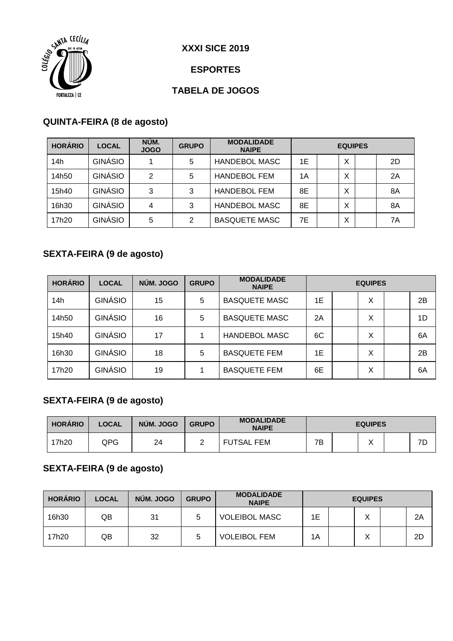

#### **ESPORTES**

## **TABELA DE JOGOS**

#### **QUINTA-FEIRA (8 de agosto)**

| <b>HORÁRIO</b> | <b>LOCAL</b>   | NÚM.<br><b>JOGO</b> | <b>GRUPO</b> | <b>MODALIDADE</b><br><b>NAIPE</b> | <b>EQUIPES</b> |  |   |  |    |
|----------------|----------------|---------------------|--------------|-----------------------------------|----------------|--|---|--|----|
| 14h            | GINÁSIO        |                     | 5            | <b>HANDEBOL MASC</b>              | 1E             |  | X |  | 2D |
| 14h50          | <b>GINÁSIO</b> | 2                   | 5            | <b>HANDEBOL FEM</b>               | 1А             |  | X |  | 2A |
| 15h40          | GINÁSIO        | 3                   | 3            | <b>HANDEBOL FEM</b>               | 8E             |  | X |  | 8A |
| 16h30          | GINÁSIO        | 4                   | 3            | <b>HANDEBOL MASC</b>              | 8E             |  | X |  | 8A |
| 17h20          | GINÁSIO        | 5                   | 2            | <b>BASQUETE MASC</b>              | 7E             |  | Χ |  | 7A |

### **SEXTA-FEIRA (9 de agosto)**

| <b>HORÁRIO</b> | <b>LOCAL</b> | NÚM. JOGO | <b>GRUPO</b> | <b>MODALIDADE</b><br><b>NAIPE</b> | <b>EQUIPES</b> |  |   |  |    |
|----------------|--------------|-----------|--------------|-----------------------------------|----------------|--|---|--|----|
| 14h            | GINÁSIO      | 15        | 5            | <b>BASQUETE MASC</b>              | 1E             |  | X |  | 2B |
| 14h50          | GINÁSIO      | 16        | 5            | <b>BASQUETE MASC</b>              | 2A             |  | X |  | 1D |
| 15h40          | GINÁSIO      | 17        |              | <b>HANDEBOL MASC</b>              | 6C             |  | X |  | 6A |
| 16h30          | GINÁSIO      | 18        | 5            | <b>BASQUETE FEM</b>               | 1E             |  | X |  | 2B |
| 17h20          | GINÁSIO      | 19        |              | <b>BASQUETE FEM</b>               | 6E             |  | X |  | 6A |

## **SEXTA-FEIRA (9 de agosto)**

| <b>HORÁRIO</b> | <b>LOCAL</b> | NÚM. JOGO | <b>GRUPO</b> | <b>MODALIDADE</b><br><b>NAIPE</b> | <b>EQUIPES</b> |  |                   |  |    |  |
|----------------|--------------|-----------|--------------|-----------------------------------|----------------|--|-------------------|--|----|--|
| 17h20          | QPG          | 24        |              | <b>FUTSAL FEM</b>                 | 7Β             |  | $\checkmark$<br>∧ |  | 7D |  |

## **SEXTA-FEIRA (9 de agosto)**

| <b>HORÁRIO</b> | <b>LOCAL</b> | NÚM. JOGO | <b>GRUPO</b> | <b>MODALIDADE</b><br><b>NAIPE</b> | <b>EQUIPES</b> |  |  |  |    |
|----------------|--------------|-----------|--------------|-----------------------------------|----------------|--|--|--|----|
| 16h30          | QB           | 31        |              | <b>VOLEIBOL MASC</b>              | 1Ε             |  |  |  | 2A |
| 17h20          | QB           | 32        | 5            | <b>VOLEIBOL FEM</b>               | 1A             |  |  |  | 2D |